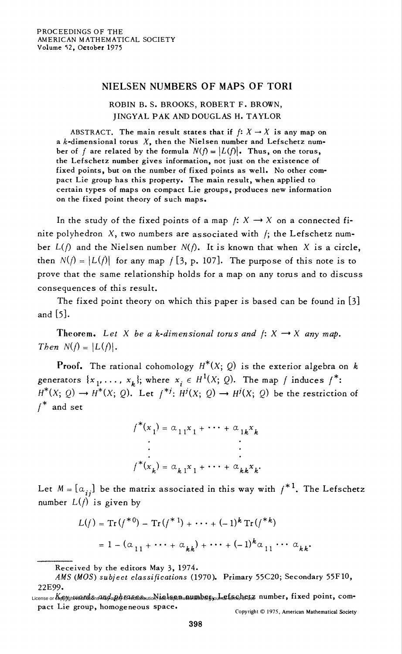## NIELSEN NUMBERS OF MAPS OF TORI

## ROBIN B. S. BROOKS, ROBERT F. BROWN, JINGYAL PAK AND DOUGLAS H. TAYLOR

ABSTRACT. The main result states that if  $f: X \rightarrow X$  is any map on a  $k$ -dimensional torus  $X$ , then the Nielsen number and Lefschetz number of f are related by the formula  $N(f) = |L(f)|$ . Thus, on the torus, the Lefschetz number gives information, not just on the existence of fixed points, but on the number of fixed points as well. No other compact Lie group has this property. The main result, when applied to certain types of maps on compact Lie groups, produces new information on the fixed point theory of such maps.

In the study of the fixed points of a map  $f: X \rightarrow X$  on a connected finite polyhedron  $X$ , two numbers are associated with  $f$ ; the Lefschetz number  $L(f)$  and the Nielsen number  $N(f)$ . It is known that when X is a circle, then  $N(f) = |L(f)|$  for any map  $f(3, p, 107)$ . The purpose of this note is to prove that the same relationship holds for a map on any torus and to discuss consequences of this result.

The fixed point theory on which this paper is based can be found in [3] and [5].

Theorem. Let X be a k-dimensional torus and  $f: X \rightarrow X$  any map. Then  $N(f) = |L(f)|$ .

**Proof.** The rational cohomology  $H^*(X; Q)$  is the exterior algebra on k generators  $\{x_1, \ldots, x_k\}$ ; where  $x_i \in H^1(X; Q)$ . The map f induces  $f^*$ :  $H^*(X; Q) \to H^*(X; Q)$ . Let  $f^{*j}: H^j(X; Q) \to H^j(X; Q)$  be the restriction of  $f^*$  and set

$$
f^*(x_1) = \alpha_{11}x_1 + \cdots + \alpha_{1k}x_k
$$
  
\n
$$
\vdots
$$
  
\n
$$
f^*(x_k) = \alpha_{k1}x_1 + \cdots + \alpha_{kk}x_k.
$$

Let  $M = [\alpha_{ij}]$  be the matrix associated in this way with  $f^{*1}$ . The Lefschetz number  $L(f)$  is given by

$$
L(f) = Tr(f^{*0}) - Tr(f^{*1}) + \dots + (-1)^k Tr(f^{*k})
$$
  
=  $1 - (\alpha_{11} + \dots + \alpha_{kk}) + \dots + (-1)^k \alpha_{11} \dots \alpha_{kk}$ 

Received by the editors May 3, 1974.

AMS (MOS) subject classifications (1970). Primary 55C20; Secondary 55F10, 22E99.

License or &&%gn<del>W&fidio</del>ns4mg4aph/t4&fsmuuch\isehesswmmber, amstermsberg, number, fixed point, com pact Lie group, homogeneous space.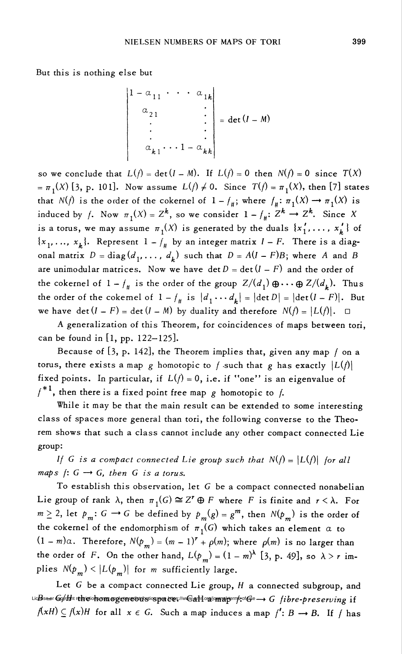But this is nothing else but

$$
\begin{vmatrix}\n1 - \alpha_{11} & \cdots & \alpha_{1k} \\
\alpha_{21} & & \vdots \\
\vdots & & \vdots \\
\alpha_{k1} & \cdots & 1 - \alpha_{kk}\n\end{vmatrix} = \det(I - M)
$$

so we conclude that  $L(f) = det(I - M)$ . If  $L(f) = 0$  then  $N(f) = 0$  since  $T(X)$  $=\pi_1(X)$  [3, p. 101]. Now assume  $L(f) \neq 0$ . Since  $T(f) = \pi_1(X)$ , then [7] states that  $N(f)$  is the order of the cokernel of  $1 - f_{\#}$ ; where  $f_{\#}: \pi_1(X) \to \pi_1(X)$  is induced by f. Now  $\pi_1(X) = Z^k$ , so we consider  $1 - f_{\#}: Z^k \to Z^k$ . Since X is a torus, we may assume  $\pi_1(X)$  is generated by the duals  $\{x'_1, \ldots, x'_k\}$  of  $\{x_1, ..., x_k\}$ . Represent  $1 - f_{\#}$  by an integer matrix  $I - F$ . There is a diagonal matrix  $D = diag(d_1, ..., d_k)$  such that  $D = A(I - F)B$ ; where A and B are unimodular matrices. Now we have  $\det D = \det (I - F)$  and the order of the cokernel of  $1 - f_{\#}$  is the order of the group  $Z/(d_1) \oplus \cdots \oplus Z/(d_k)$ . Thus the order of the cokernel of  $1 - \frac{1}{4}$  is  $\left| d_1 \cdots d_k \right| = |\det D| = |\det(I - F)|$ . But we have det  $(I - F) = \det (I - M)$  by duality and therefore  $N(f) = |L(f)|$ .  $\Box$ 

A generalization of this Theorem, for coincidences of maps between tori, can be found in [l, pp. 122—125]-

Because of  $[3, p. 142]$ , the Theorem implies that, given any map  $f$  on a torus, there exists a map g homotopic to f such that g has exactly  $|L(f)|$ fixed points. In particular, if  $L(f) = 0$ , i.e. if "one" is an eigenvalue of  $f^{*1}$ , then there is a fixed point free map g homotopic to f.

While it may be that the main result can be extended to some interesting class of spaces more general than tori, the following converse to the Theorem shows that such a class cannot include any other compact connected Lie group:

If G is a compact connected Lie group such that  $N(f) = |L(f)|$  for all maps  $f: G \rightarrow G$ , then G is a torus.

To establish this observation, let  $G$  be a compact connected nonabelian Lie group of rank  $\lambda$ , then  $\pi_1(G) \cong Z^r \oplus F$  where F is finite and  $r < \lambda$ . For  $m \geq 2$ , let  $p_m: G \to G$  be defined by  $p_m(g) = g^m$ , then  $N(p_m)$  is the order of the cokernel of the endomorphism of  $\pi_1(G)$  which takes an element  $\alpha$  to  $(1 - m)\alpha$ . Therefore,  $N(p_m) = (m - 1)^r + \rho(m)$ ; where  $\rho(m)$  is no larger than the order of F. On the other hand,  $L(p_m) = (1 - m)^{\lambda}$  [3, p. 49], so  $\lambda > r$  implies  $N(p_m) < |L(p_m)|$  for m sufficiently large.

Let  $G$  be a compact connected Lie group,  $H$  a connected subgroup, and License or lop/dom restrictions of may emperounce the interpretations of the magnetic managements of the e-preserving  ${\bf i}$ :  $f(xH) \subseteq f(x)H$  for all  $x \in G$ . Such a map induces a map  $f' : B \longrightarrow B$ . If f has